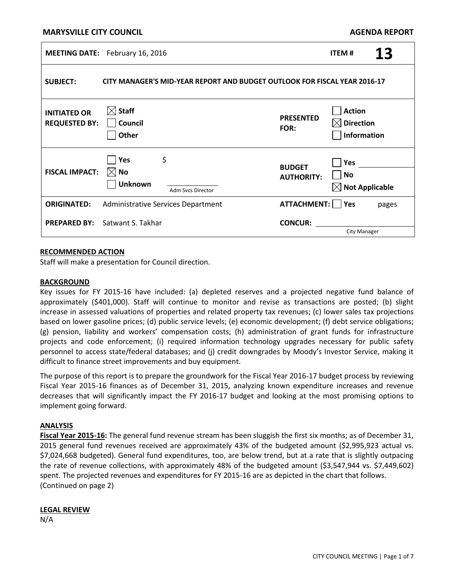## **MARYSVILLE CITY COUNCIL**

| <b>AGENDA REPORT</b> |  |
|----------------------|--|
|----------------------|--|

|                                             | <b>MEETING DATE:</b> February 16, 2016                                    |                                    | <b>ITEM#</b>                                                     | 13    |
|---------------------------------------------|---------------------------------------------------------------------------|------------------------------------|------------------------------------------------------------------|-------|
| <b>SUBJECT:</b>                             | CITY MANAGER'S MID-YEAR REPORT AND BUDGET OUTLOOK FOR FISCAL YEAR 2016-17 |                                    |                                                                  |       |
| <b>INITIATED OR</b><br><b>REQUESTED BY:</b> | $\boxtimes$ Staff<br>$\vert$ $\vert$ Council<br>$\bigcap$ Other           | <b>PRESENTED</b><br>FOR:           | <b>Action</b><br>$\boxtimes$ Direction<br>$\Box$ Information     |       |
| <b>FISCAL IMPACT:</b>                       | \$<br>$\Box$ Yes<br>$\boxtimes$ No<br><b>Unknown</b><br>Adm Svcs Director | <b>BUDGET</b><br><b>AUTHORITY:</b> | $\bigcap$ Yes<br>$\blacksquare$ No<br>$\boxtimes$ Not Applicable |       |
| <b>ORIGINATED:</b>                          | Administrative Services Department                                        | $ATTACHMENT:$ Yes                  |                                                                  | pages |
| <b>PREPARED BY:</b>                         | Satwant S. Takhar                                                         | <b>CONCUR:</b>                     | <b>City Manager</b>                                              |       |

### **RECOMMENDED ACTION**

Staff will make a presentation for Council direction.

### **BACKGROUND**

Key issues for FY 2015-16 have included: (a) depleted reserves and a projected negative fund balance of approximately (\$401,000). Staff will continue to monitor and revise as transactions are posted; (b) slight increase in assessed valuations of properties and related property tax revenues; (c) lower sales tax projections based on lower gasoline prices; (d) public service levels; (e) economic development; (f) debt service obligations; (g) pension, liability and workers' compensation costs; (h) administration of grant funds for infrastructure projects and code enforcement; (i) required information technology upgrades necessary for public safety personnel to access state/federal databases; and (j) credit downgrades by Moody's Investor Service, making it difficult to finance street improvements and buy equipment.

The purpose of this report is to prepare the groundwork for the Fiscal Year 2016-17 budget process by reviewing Fiscal Year 2015-16 finances as of December 31, 2015, analyzing known expenditure increases and revenue decreases that will significantly impact the FY 2016-17 budget and looking at the most promising options to implement going forward.

### **ANALYSIS**

**Fiscal Year 2015-16:** The general fund revenue stream has been sluggish the first six months; as of December 31, 2015 general fund revenues received are approximately 43% of the budgeted amount (\$2,995,923 actual vs. \$7,024,668 budgeted). General fund expenditures, too, are below trend, but at a rate that is slightly outpacing the rate of revenue collections, with approximately 48% of the budgeted amount (\$3,547,944 vs. \$7,449,602) spent. The projected revenues and expenditures for FY 2015-16 are as depicted in the chart that follows. (Continued on page 2)

## **LEGAL REVIEW**

N/A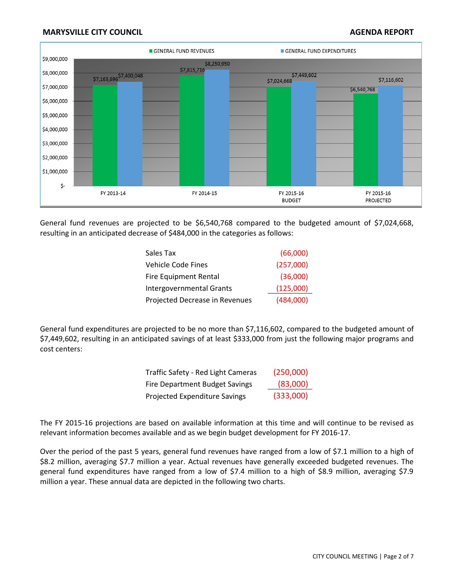# **MARYSVILLE CITY COUNCIL AGENT AGENT AGENT AGENT AGENUAL REPORT**



General fund revenues are projected to be \$6,540,768 compared to the budgeted amount of \$7,024,668, resulting in an anticipated decrease of \$484,000 in the categories as follows:

| Sales Tax                       | (66,000)  |
|---------------------------------|-----------|
| Vehicle Code Fines              | (257,000) |
| <b>Fire Equipment Rental</b>    | (36,000)  |
| <b>Intergovernmental Grants</b> | (125,000) |
| Projected Decrease in Revenues  | (484,000) |

General fund expenditures are projected to be no more than \$7,116,602, compared to the budgeted amount of \$7,449,602, resulting in an anticipated savings of at least \$333,000 from just the following major programs and cost centers:

| Traffic Safety - Red Light Cameras    | (250,000) |
|---------------------------------------|-----------|
| <b>Fire Department Budget Savings</b> | (83,000)  |
| Projected Expenditure Savings         | (333,000) |

The FY 2015-16 projections are based on available information at this time and will continue to be revised as relevant information becomes available and as we begin budget development for FY 2016-17.

Over the period of the past 5 years, general fund revenues have ranged from a low of \$7.1 million to a high of \$8.2 million, averaging \$7.7 million a year. Actual revenues have generally exceeded budgeted revenues. The general fund expenditures have ranged from a low of \$7.4 million to a high of \$8.9 million, averaging \$7.9 million a year. These annual data are depicted in the following two charts.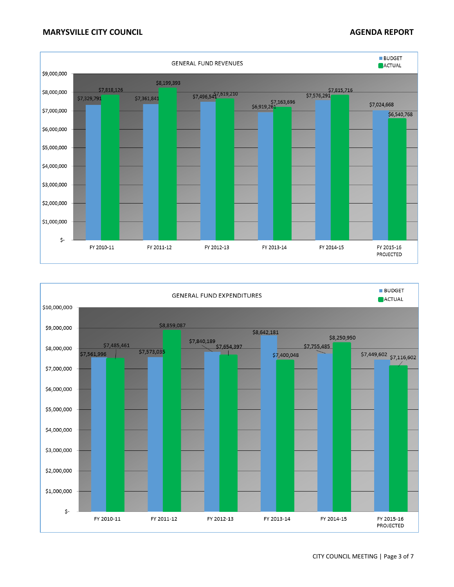

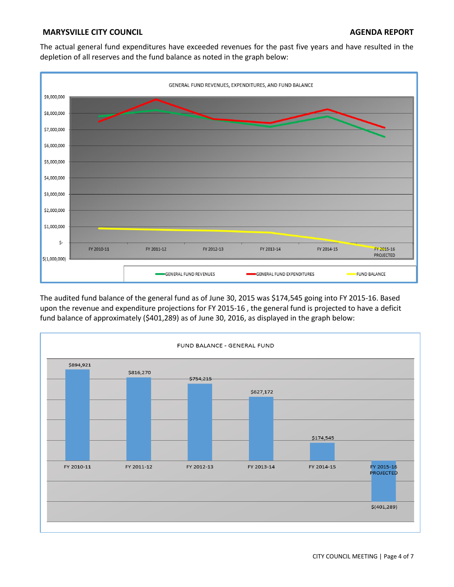# **MARYSVILLE CITY COUNCIL AGENERAL PROPERTY COUNCIL AGENERAL PROPERTY COUNCIL**

The actual general fund expenditures have exceeded revenues for the past five years and have resulted in the depletion of all reserves and the fund balance as noted in the graph below:



The audited fund balance of the general fund as of June 30, 2015 was \$174,545 going into FY 2015-16. Based upon the revenue and expenditure projections for FY 2015-16 , the general fund is projected to have a deficit fund balance of approximately (\$401,289) as of June 30, 2016, as displayed in the graph below:

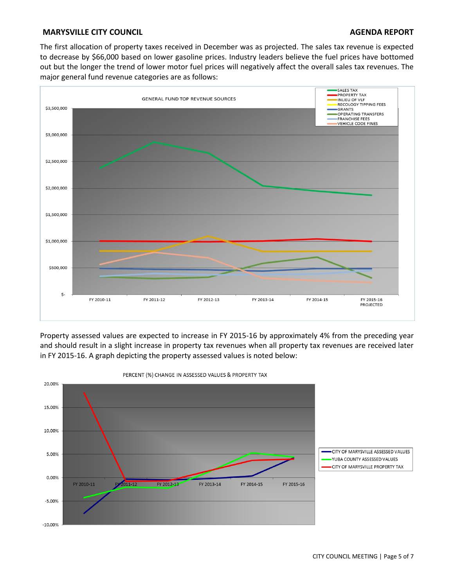# **MARYSVILLE CITY COUNCIL AGENT AGENT AGENT AGENT AGENUAL REPORT**

The first allocation of property taxes received in December was as projected. The sales tax revenue is expected to decrease by \$66,000 based on lower gasoline prices. Industry leaders believe the fuel prices have bottomed out but the longer the trend of lower motor fuel prices will negatively affect the overall sales tax revenues. The major general fund revenue categories are as follows:



Property assessed values are expected to increase in FY 2015-16 by approximately 4% from the preceding year and should result in a slight increase in property tax revenues when all property tax revenues are received later in FY 2015-16. A graph depicting the property assessed values is noted below:



PERCENT (%) CHANGE IN ASSESSED VALUES & PROPERTY TAX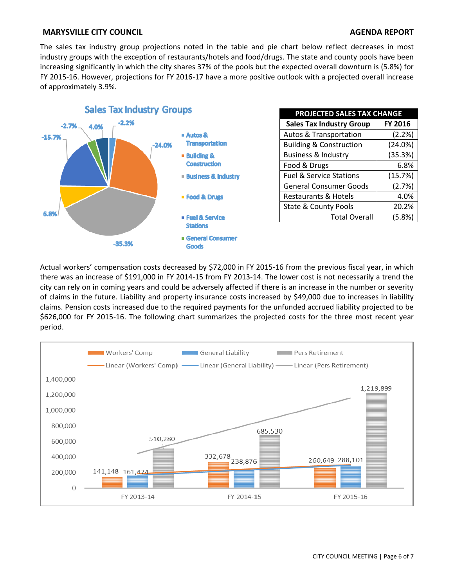# **MARYSVILLE CITY COUNCIL AGENT AGENT AGENT AGENT AGENUAL REPORT**

The sales tax industry group projections noted in the table and pie chart below reflect decreases in most industry groups with the exception of restaurants/hotels and food/drugs. The state and county pools have been increasing significantly in which the city shares 37% of the pools but the expected overall downturn is (5.8%) for FY 2015-16. However, projections for FY 2016-17 have a more positive outlook with a projected overall increase of approximately 3.9%.



| <b>PROJECTED SALES TAX CHANGE</b>  |         |  |  |  |
|------------------------------------|---------|--|--|--|
| <b>Sales Tax Industry Group</b>    | FY 2016 |  |  |  |
| <b>Autos &amp; Transportation</b>  | (2.2%)  |  |  |  |
| <b>Building &amp; Construction</b> | (24.0%) |  |  |  |
| <b>Business &amp; Industry</b>     | (35.3%) |  |  |  |
| Food & Drugs                       | 6.8%    |  |  |  |
| <b>Fuel &amp; Service Stations</b> | (15.7%) |  |  |  |
| <b>General Consumer Goods</b>      | (2.7%)  |  |  |  |
| <b>Restaurants &amp; Hotels</b>    | 4.0%    |  |  |  |
| <b>State &amp; County Pools</b>    | 20.2%   |  |  |  |
| <b>Total Overall</b>               | (5.8%)  |  |  |  |

Actual workers' compensation costs decreased by \$72,000 in FY 2015-16 from the previous fiscal year, in which there was an increase of \$191,000 in FY 2014-15 from FY 2013-14. The lower cost is not necessarily a trend the city can rely on in coming years and could be adversely affected if there is an increase in the number or severity of claims in the future. Liability and property insurance costs increased by \$49,000 due to increases in liability claims. Pension costs increased due to the required payments for the unfunded accrued liability projected to be \$626,000 for FY 2015-16. The following chart summarizes the projected costs for the three most recent year period.